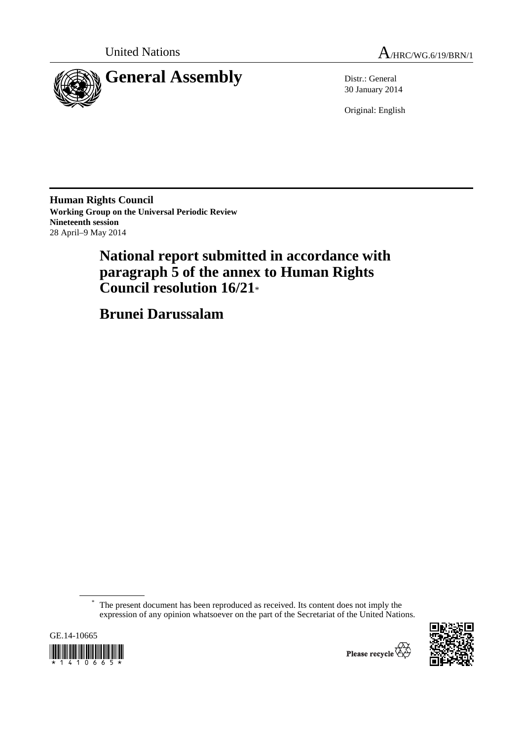



30 January 2014

Original: English

**Human Rights Council Working Group on the Universal Periodic Review Nineteenth session**  28 April–9 May 2014

# **National report submitted in accordance with paragraph 5 of the annex to Human Rights Council resolution 16/21**\*

 **Brunei Darussalam** 

The present document has been reproduced as received. Its content does not imply the expression of any opinion whatsoever on the part of the Secretariat of the United Nations.



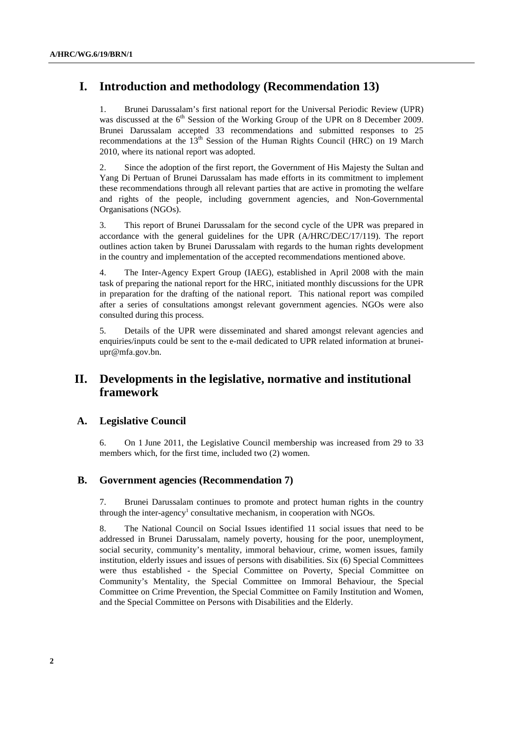# **I. Introduction and methodology (Recommendation 13)**

1. Brunei Darussalam's first national report for the Universal Periodic Review (UPR) was discussed at the 6<sup>th</sup> Session of the Working Group of the UPR on 8 December 2009. Brunei Darussalam accepted 33 recommendations and submitted responses to 25 recommendations at the  $13<sup>th</sup>$  Session of the Human Rights Council (HRC) on 19 March 2010, where its national report was adopted.

2. Since the adoption of the first report, the Government of His Majesty the Sultan and Yang Di Pertuan of Brunei Darussalam has made efforts in its commitment to implement these recommendations through all relevant parties that are active in promoting the welfare and rights of the people, including government agencies, and Non-Governmental Organisations (NGOs).

3. This report of Brunei Darussalam for the second cycle of the UPR was prepared in accordance with the general guidelines for the UPR (A/HRC/DEC/17/119). The report outlines action taken by Brunei Darussalam with regards to the human rights development in the country and implementation of the accepted recommendations mentioned above.

4. The Inter-Agency Expert Group (IAEG), established in April 2008 with the main task of preparing the national report for the HRC, initiated monthly discussions for the UPR in preparation for the drafting of the national report. This national report was compiled after a series of consultations amongst relevant government agencies. NGOs were also consulted during this process.

5. Details of the UPR were disseminated and shared amongst relevant agencies and enquiries/inputs could be sent to the e-mail dedicated to UPR related information at bruneiupr@mfa.gov.bn.

### **II. Developments in the legislative, normative and institutional framework**

#### **A. Legislative Council**

6. On 1 June 2011, the Legislative Council membership was increased from 29 to 33 members which, for the first time, included two (2) women.

#### **B. Government agencies (Recommendation 7)**

7. Brunei Darussalam continues to promote and protect human rights in the country through the inter-agency<sup>1</sup> consultative mechanism, in cooperation with NGOs.

8. The National Council on Social Issues identified 11 social issues that need to be addressed in Brunei Darussalam, namely poverty, housing for the poor, unemployment, social security, community's mentality, immoral behaviour, crime, women issues, family institution, elderly issues and issues of persons with disabilities. Six (6) Special Committees were thus established - the Special Committee on Poverty, Special Committee on Community's Mentality, the Special Committee on Immoral Behaviour, the Special Committee on Crime Prevention, the Special Committee on Family Institution and Women, and the Special Committee on Persons with Disabilities and the Elderly.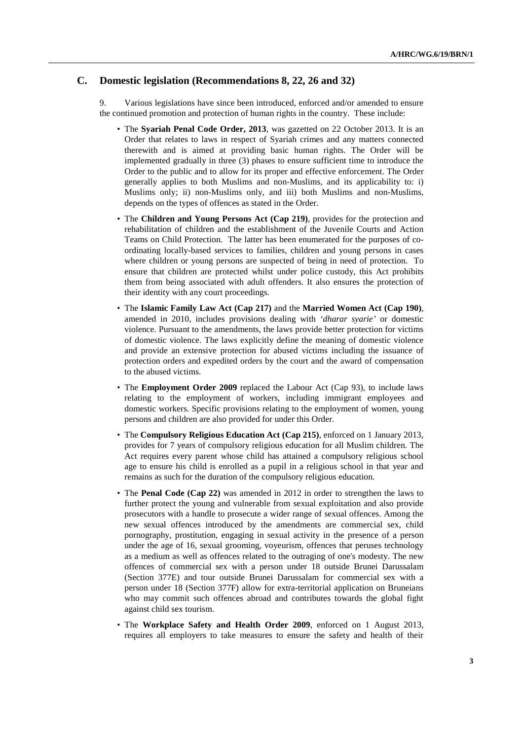#### **C. Domestic legislation (Recommendations 8, 22, 26 and 32)**

9. Various legislations have since been introduced, enforced and/or amended to ensure the continued promotion and protection of human rights in the country. These include:

- The **Syariah Penal Code Order, 2013**, was gazetted on 22 October 2013. It is an Order that relates to laws in respect of Syariah crimes and any matters connected therewith and is aimed at providing basic human rights. The Order will be implemented gradually in three (3) phases to ensure sufficient time to introduce the Order to the public and to allow for its proper and effective enforcement. The Order generally applies to both Muslims and non-Muslims, and its applicability to: i) Muslims only; ii) non-Muslims only, and iii) both Muslims and non-Muslims, depends on the types of offences as stated in the Order.
- The **Children and Young Persons Act (Cap 219)**, provides for the protection and rehabilitation of children and the establishment of the Juvenile Courts and Action Teams on Child Protection. The latter has been enumerated for the purposes of coordinating locally-based services to families, children and young persons in cases where children or young persons are suspected of being in need of protection. To ensure that children are protected whilst under police custody, this Act prohibits them from being associated with adult offenders. It also ensures the protection of their identity with any court proceedings.
- The **Islamic Family Law Act (Cap 217)** and the **Married Women Act (Cap 190)**, amended in 2010, includes provisions dealing with *'dharar syarie'* or domestic violence. Pursuant to the amendments, the laws provide better protection for victims of domestic violence. The laws explicitly define the meaning of domestic violence and provide an extensive protection for abused victims including the issuance of protection orders and expedited orders by the court and the award of compensation to the abused victims.
- The **Employment Order 2009** replaced the Labour Act (Cap 93), to include laws relating to the employment of workers, including immigrant employees and domestic workers. Specific provisions relating to the employment of women, young persons and children are also provided for under this Order.
- The **Compulsory Religious Education Act (Cap 215)**, enforced on 1 January 2013, provides for 7 years of compulsory religious education for all Muslim children. The Act requires every parent whose child has attained a compulsory religious school age to ensure his child is enrolled as a pupil in a religious school in that year and remains as such for the duration of the compulsory religious education.
- The **Penal Code (Cap 22)** was amended in 2012 in order to strengthen the laws to further protect the young and vulnerable from sexual exploitation and also provide prosecutors with a handle to prosecute a wider range of sexual offences. Among the new sexual offences introduced by the amendments are commercial sex, child pornography, prostitution, engaging in sexual activity in the presence of a person under the age of 16, sexual grooming, voyeurism, offences that peruses technology as a medium as well as offences related to the outraging of one's modesty. The new offences of commercial sex with a person under 18 outside Brunei Darussalam (Section 377E) and tour outside Brunei Darussalam for commercial sex with a person under 18 (Section 377F) allow for extra-territorial application on Bruneians who may commit such offences abroad and contributes towards the global fight against child sex tourism.
- The **Workplace Safety and Health Order 2009**, enforced on 1 August 2013, requires all employers to take measures to ensure the safety and health of their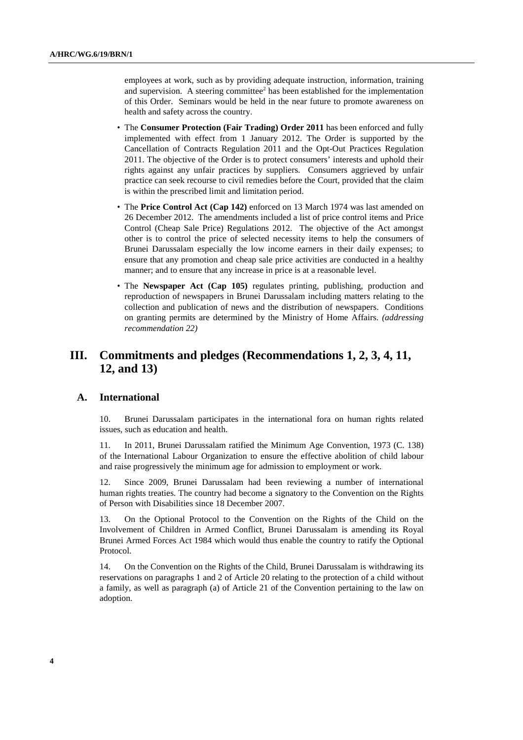employees at work, such as by providing adequate instruction, information, training and supervision. A steering committee<sup>2</sup> has been established for the implementation of this Order. Seminars would be held in the near future to promote awareness on health and safety across the country.

- The **Consumer Protection (Fair Trading) Order 2011** has been enforced and fully implemented with effect from 1 January 2012. The Order is supported by the Cancellation of Contracts Regulation 2011 and the Opt-Out Practices Regulation 2011. The objective of the Order is to protect consumers' interests and uphold their rights against any unfair practices by suppliers. Consumers aggrieved by unfair practice can seek recourse to civil remedies before the Court, provided that the claim is within the prescribed limit and limitation period.
- The **Price Control Act (Cap 142)** enforced on 13 March 1974 was last amended on 26 December 2012. The amendments included a list of price control items and Price Control (Cheap Sale Price) Regulations 2012. The objective of the Act amongst other is to control the price of selected necessity items to help the consumers of Brunei Darussalam especially the low income earners in their daily expenses; to ensure that any promotion and cheap sale price activities are conducted in a healthy manner; and to ensure that any increase in price is at a reasonable level.
- The **Newspaper Act** (Cap 105) regulates printing, publishing, production and reproduction of newspapers in Brunei Darussalam including matters relating to the collection and publication of news and the distribution of newspapers. Conditions on granting permits are determined by the Ministry of Home Affairs. *(addressing recommendation 22)*

# **III. Commitments and pledges (Recommendations 1, 2, 3, 4, 11, 12, and 13)**

#### **A. International**

10. Brunei Darussalam participates in the international fora on human rights related issues, such as education and health.

11. In 2011, Brunei Darussalam ratified the Minimum Age Convention, 1973 (C. 138) of the International Labour Organization to ensure the effective abolition of child labour and raise progressively the minimum age for admission to employment or work.

12. Since 2009, Brunei Darussalam had been reviewing a number of international human rights treaties. The country had become a signatory to the Convention on the Rights of Person with Disabilities since 18 December 2007.

13. On the Optional Protocol to the Convention on the Rights of the Child on the Involvement of Children in Armed Conflict, Brunei Darussalam is amending its Royal Brunei Armed Forces Act 1984 which would thus enable the country to ratify the Optional Protocol.

14. On the Convention on the Rights of the Child, Brunei Darussalam is withdrawing its reservations on paragraphs 1 and 2 of Article 20 relating to the protection of a child without a family, as well as paragraph (a) of Article 21 of the Convention pertaining to the law on adoption.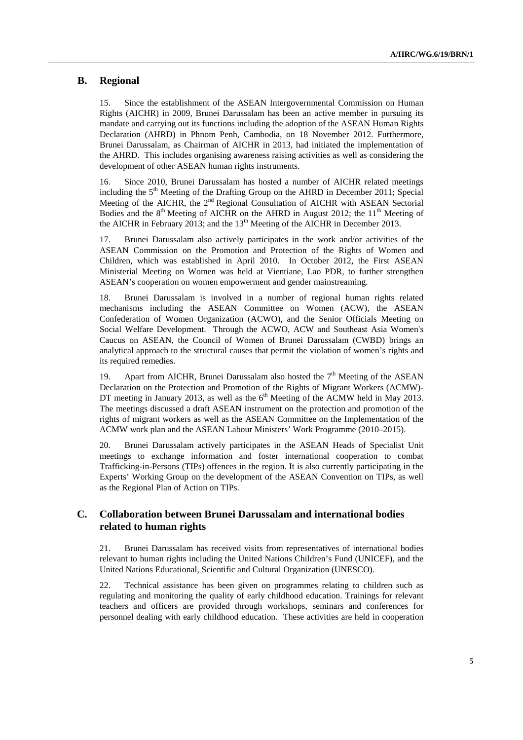#### **B. Regional**

15. Since the establishment of the ASEAN Intergovernmental Commission on Human Rights (AICHR) in 2009, Brunei Darussalam has been an active member in pursuing its mandate and carrying out its functions including the adoption of the ASEAN Human Rights Declaration (AHRD) in Phnom Penh, Cambodia, on 18 November 2012. Furthermore, Brunei Darussalam, as Chairman of AICHR in 2013, had initiated the implementation of the AHRD. This includes organising awareness raising activities as well as considering the development of other ASEAN human rights instruments.

16. Since 2010, Brunei Darussalam has hosted a number of AICHR related meetings including the  $5<sup>th</sup>$  Meeting of the Drafting Group on the AHRD in December 2011; Special Meeting of the AICHR, the 2<sup>nd</sup> Regional Consultation of AICHR with ASEAN Sectorial Bodies and the  $8<sup>th</sup>$  Meeting of AICHR on the AHRD in August 2012; the 11<sup>th</sup> Meeting of the AICHR in February 2013; and the  $13<sup>th</sup>$  Meeting of the AICHR in December 2013.

17. Brunei Darussalam also actively participates in the work and/or activities of the ASEAN Commission on the Promotion and Protection of the Rights of Women and Children, which was established in April 2010. In October 2012, the First ASEAN Ministerial Meeting on Women was held at Vientiane, Lao PDR, to further strengthen ASEAN's cooperation on women empowerment and gender mainstreaming.

18. Brunei Darussalam is involved in a number of regional human rights related mechanisms including the ASEAN Committee on Women (ACW), the ASEAN Confederation of Women Organization (ACWO), and the Senior Officials Meeting on Social Welfare Development. Through the ACWO, ACW and Southeast Asia Women's Caucus on ASEAN, the Council of Women of Brunei Darussalam (CWBD) brings an analytical approach to the structural causes that permit the violation of women's rights and its required remedies.

19. Apart from AICHR, Brunei Darussalam also hosted the  $7<sup>th</sup>$  Meeting of the ASEAN Declaration on the Protection and Promotion of the Rights of Migrant Workers (ACMW)- DT meeting in January 2013, as well as the  $6<sup>th</sup>$  Meeting of the ACMW held in May 2013. The meetings discussed a draft ASEAN instrument on the protection and promotion of the rights of migrant workers as well as the ASEAN Committee on the Implementation of the ACMW work plan and the ASEAN Labour Ministers' Work Programme (2010–2015).

20. Brunei Darussalam actively participates in the ASEAN Heads of Specialist Unit meetings to exchange information and foster international cooperation to combat Trafficking-in-Persons (TIPs) offences in the region. It is also currently participating in the Experts' Working Group on the development of the ASEAN Convention on TIPs, as well as the Regional Plan of Action on TIPs.

#### **C. Collaboration between Brunei Darussalam and international bodies related to human rights**

21. Brunei Darussalam has received visits from representatives of international bodies relevant to human rights including the United Nations Children's Fund (UNICEF), and the United Nations Educational, Scientific and Cultural Organization (UNESCO).

22. Technical assistance has been given on programmes relating to children such as regulating and monitoring the quality of early childhood education. Trainings for relevant teachers and officers are provided through workshops, seminars and conferences for personnel dealing with early childhood education. These activities are held in cooperation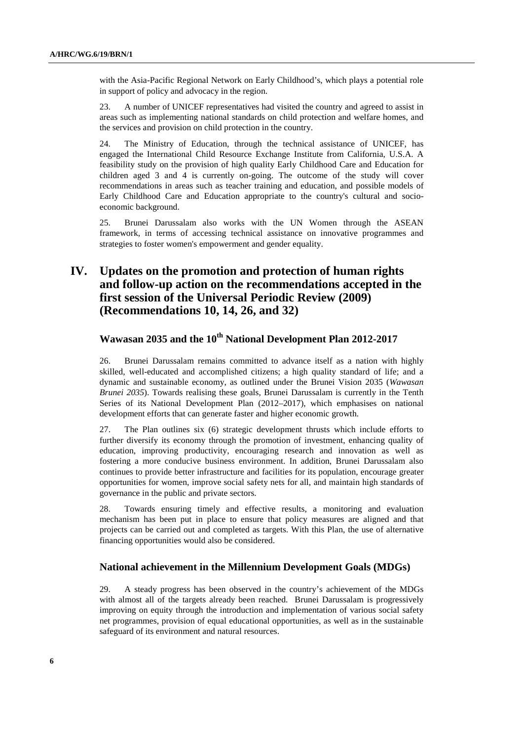with the Asia-Pacific Regional Network on Early Childhood's, which plays a potential role in support of policy and advocacy in the region.

23. A number of UNICEF representatives had visited the country and agreed to assist in areas such as implementing national standards on child protection and welfare homes, and the services and provision on child protection in the country.

24. The Ministry of Education, through the technical assistance of UNICEF, has engaged the International Child Resource Exchange Institute from California, U.S.A. A feasibility study on the provision of high quality Early Childhood Care and Education for children aged 3 and 4 is currently on-going. The outcome of the study will cover recommendations in areas such as teacher training and education, and possible models of Early Childhood Care and Education appropriate to the country's cultural and socioeconomic background.

25. Brunei Darussalam also works with the UN Women through the ASEAN framework, in terms of accessing technical assistance on innovative programmes and strategies to foster women's empowerment and gender equality.

# **IV. Updates on the promotion and protection of human rights and follow-up action on the recommendations accepted in the first session of the Universal Periodic Review (2009) (Recommendations 10, 14, 26, and 32)**

## **Wawasan 2035 and the 10th National Development Plan 2012-2017**

26. Brunei Darussalam remains committed to advance itself as a nation with highly skilled, well-educated and accomplished citizens; a high quality standard of life; and a dynamic and sustainable economy, as outlined under the Brunei Vision 2035 (*Wawasan Brunei 2035*). Towards realising these goals, Brunei Darussalam is currently in the Tenth Series of its National Development Plan (2012–2017), which emphasises on national development efforts that can generate faster and higher economic growth.

27. The Plan outlines six (6) strategic development thrusts which include efforts to further diversify its economy through the promotion of investment, enhancing quality of education, improving productivity, encouraging research and innovation as well as fostering a more conducive business environment. In addition, Brunei Darussalam also continues to provide better infrastructure and facilities for its population, encourage greater opportunities for women, improve social safety nets for all, and maintain high standards of governance in the public and private sectors.

28. Towards ensuring timely and effective results, a monitoring and evaluation mechanism has been put in place to ensure that policy measures are aligned and that projects can be carried out and completed as targets. With this Plan, the use of alternative financing opportunities would also be considered.

#### **National achievement in the Millennium Development Goals (MDGs)**

29. A steady progress has been observed in the country's achievement of the MDGs with almost all of the targets already been reached. Brunei Darussalam is progressively improving on equity through the introduction and implementation of various social safety net programmes, provision of equal educational opportunities, as well as in the sustainable safeguard of its environment and natural resources.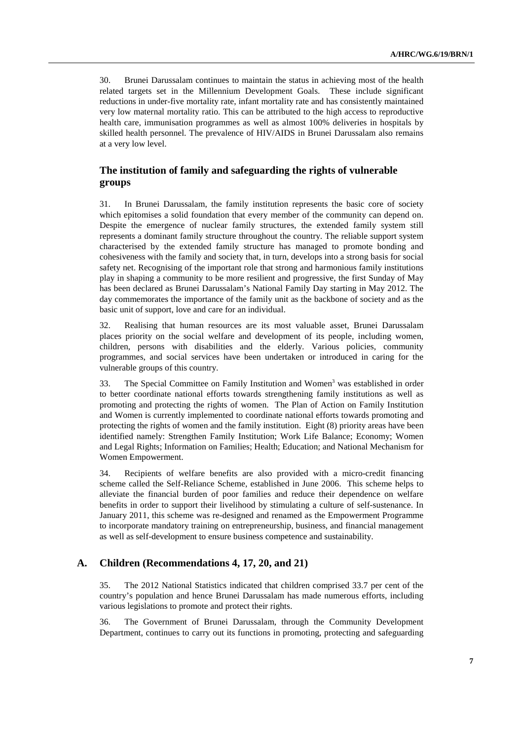30. Brunei Darussalam continues to maintain the status in achieving most of the health related targets set in the Millennium Development Goals. These include significant reductions in under-five mortality rate, infant mortality rate and has consistently maintained very low maternal mortality ratio. This can be attributed to the high access to reproductive health care, immunisation programmes as well as almost 100% deliveries in hospitals by skilled health personnel. The prevalence of HIV/AIDS in Brunei Darussalam also remains at a very low level.

#### **The institution of family and safeguarding the rights of vulnerable groups**

31. In Brunei Darussalam, the family institution represents the basic core of society which epitomises a solid foundation that every member of the community can depend on. Despite the emergence of nuclear family structures, the extended family system still represents a dominant family structure throughout the country. The reliable support system characterised by the extended family structure has managed to promote bonding and cohesiveness with the family and society that, in turn, develops into a strong basis for social safety net. Recognising of the important role that strong and harmonious family institutions play in shaping a community to be more resilient and progressive, the first Sunday of May has been declared as Brunei Darussalam's National Family Day starting in May 2012. The day commemorates the importance of the family unit as the backbone of society and as the basic unit of support, love and care for an individual.

32. Realising that human resources are its most valuable asset, Brunei Darussalam places priority on the social welfare and development of its people, including women, children, persons with disabilities and the elderly. Various policies, community programmes, and social services have been undertaken or introduced in caring for the vulnerable groups of this country.

33. The Special Committee on Family Institution and Women<sup>3</sup> was established in order to better coordinate national efforts towards strengthening family institutions as well as promoting and protecting the rights of women. The Plan of Action on Family Institution and Women is currently implemented to coordinate national efforts towards promoting and protecting the rights of women and the family institution. Eight (8) priority areas have been identified namely: Strengthen Family Institution; Work Life Balance; Economy; Women and Legal Rights; Information on Families; Health; Education; and National Mechanism for Women Empowerment.

34. Recipients of welfare benefits are also provided with a micro-credit financing scheme called the Self-Reliance Scheme, established in June 2006. This scheme helps to alleviate the financial burden of poor families and reduce their dependence on welfare benefits in order to support their livelihood by stimulating a culture of self-sustenance. In January 2011, this scheme was re-designed and renamed as the Empowerment Programme to incorporate mandatory training on entrepreneurship, business, and financial management as well as self-development to ensure business competence and sustainability.

#### **A. Children (Recommendations 4, 17, 20, and 21)**

35. The 2012 National Statistics indicated that children comprised 33.7 per cent of the country's population and hence Brunei Darussalam has made numerous efforts, including various legislations to promote and protect their rights.

36. The Government of Brunei Darussalam, through the Community Development Department, continues to carry out its functions in promoting, protecting and safeguarding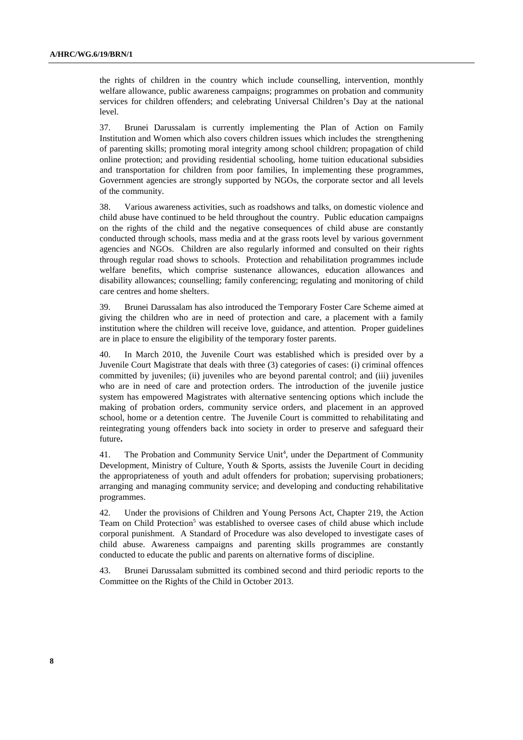the rights of children in the country which include counselling, intervention, monthly welfare allowance, public awareness campaigns; programmes on probation and community services for children offenders; and celebrating Universal Children's Day at the national level.

37. Brunei Darussalam is currently implementing the Plan of Action on Family Institution and Women which also covers children issues which includes the strengthening of parenting skills; promoting moral integrity among school children; propagation of child online protection; and providing residential schooling, home tuition educational subsidies and transportation for children from poor families, In implementing these programmes, Government agencies are strongly supported by NGOs, the corporate sector and all levels of the community.

38. Various awareness activities, such as roadshows and talks, on domestic violence and child abuse have continued to be held throughout the country. Public education campaigns on the rights of the child and the negative consequences of child abuse are constantly conducted through schools, mass media and at the grass roots level by various government agencies and NGOs. Children are also regularly informed and consulted on their rights through regular road shows to schools. Protection and rehabilitation programmes include welfare benefits, which comprise sustenance allowances, education allowances and disability allowances; counselling; family conferencing; regulating and monitoring of child care centres and home shelters.

39. Brunei Darussalam has also introduced the Temporary Foster Care Scheme aimed at giving the children who are in need of protection and care, a placement with a family institution where the children will receive love, guidance, and attention. Proper guidelines are in place to ensure the eligibility of the temporary foster parents.

40. In March 2010, the Juvenile Court was established which is presided over by a Juvenile Court Magistrate that deals with three (3) categories of cases: (i) criminal offences committed by juveniles; (ii) juveniles who are beyond parental control; and (iii) juveniles who are in need of care and protection orders. The introduction of the juvenile justice system has empowered Magistrates with alternative sentencing options which include the making of probation orders, community service orders, and placement in an approved school, home or a detention centre. The Juvenile Court is committed to rehabilitating and reintegrating young offenders back into society in order to preserve and safeguard their future**.**

41. The Probation and Community Service Unit<sup>4</sup>, under the Department of Community Development, Ministry of Culture, Youth & Sports, assists the Juvenile Court in deciding the appropriateness of youth and adult offenders for probation; supervising probationers; arranging and managing community service; and developing and conducting rehabilitative programmes.

42. Under the provisions of Children and Young Persons Act, Chapter 219, the Action Team on Child Protection<sup>5</sup> was established to oversee cases of child abuse which include corporal punishment. A Standard of Procedure was also developed to investigate cases of child abuse. Awareness campaigns and parenting skills programmes are constantly conducted to educate the public and parents on alternative forms of discipline.

43. Brunei Darussalam submitted its combined second and third periodic reports to the Committee on the Rights of the Child in October 2013.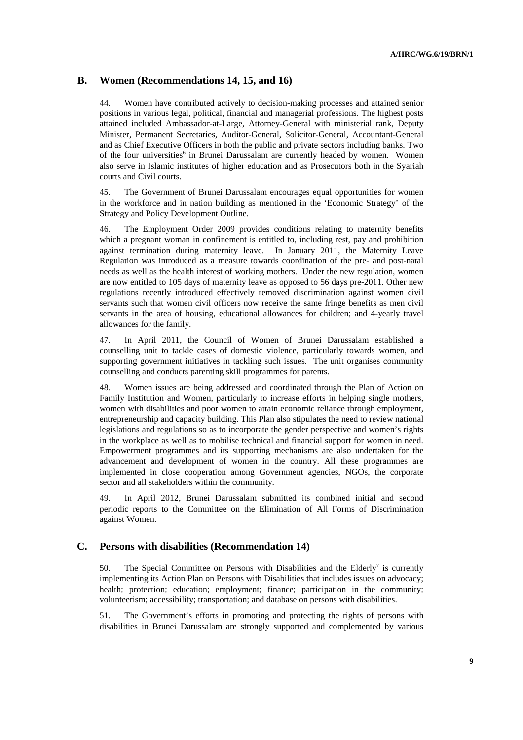#### **B. Women (Recommendations 14, 15, and 16)**

44. Women have contributed actively to decision-making processes and attained senior positions in various legal, political, financial and managerial professions. The highest posts attained included Ambassador-at-Large, Attorney-General with ministerial rank, Deputy Minister, Permanent Secretaries, Auditor-General, Solicitor-General, Accountant-General and as Chief Executive Officers in both the public and private sectors including banks. Two of the four universities<sup>6</sup> in Brunei Darussalam are currently headed by women. Women also serve in Islamic institutes of higher education and as Prosecutors both in the Syariah courts and Civil courts.

45. The Government of Brunei Darussalam encourages equal opportunities for women in the workforce and in nation building as mentioned in the 'Economic Strategy' of the Strategy and Policy Development Outline.

46. The Employment Order 2009 provides conditions relating to maternity benefits which a pregnant woman in confinement is entitled to, including rest, pay and prohibition against termination during maternity leave. In January 2011, the Maternity Leave Regulation was introduced as a measure towards coordination of the pre- and post-natal needs as well as the health interest of working mothers. Under the new regulation, women are now entitled to 105 days of maternity leave as opposed to 56 days pre-2011. Other new regulations recently introduced effectively removed discrimination against women civil servants such that women civil officers now receive the same fringe benefits as men civil servants in the area of housing, educational allowances for children; and 4-yearly travel allowances for the family.

47. In April 2011, the Council of Women of Brunei Darussalam established a counselling unit to tackle cases of domestic violence, particularly towards women, and supporting government initiatives in tackling such issues. The unit organises community counselling and conducts parenting skill programmes for parents.

48. Women issues are being addressed and coordinated through the Plan of Action on Family Institution and Women, particularly to increase efforts in helping single mothers, women with disabilities and poor women to attain economic reliance through employment, entrepreneurship and capacity building. This Plan also stipulates the need to review national legislations and regulations so as to incorporate the gender perspective and women's rights in the workplace as well as to mobilise technical and financial support for women in need. Empowerment programmes and its supporting mechanisms are also undertaken for the advancement and development of women in the country. All these programmes are implemented in close cooperation among Government agencies, NGOs, the corporate sector and all stakeholders within the community.

49. In April 2012, Brunei Darussalam submitted its combined initial and second periodic reports to the Committee on the Elimination of All Forms of Discrimination against Women.

#### **C. Persons with disabilities (Recommendation 14)**

50. The Special Committee on Persons with Disabilities and the Elderly<sup>7</sup> is currently implementing its Action Plan on Persons with Disabilities that includes issues on advocacy; health; protection; education; employment; finance; participation in the community; volunteerism; accessibility; transportation; and database on persons with disabilities.

51. The Government's efforts in promoting and protecting the rights of persons with disabilities in Brunei Darussalam are strongly supported and complemented by various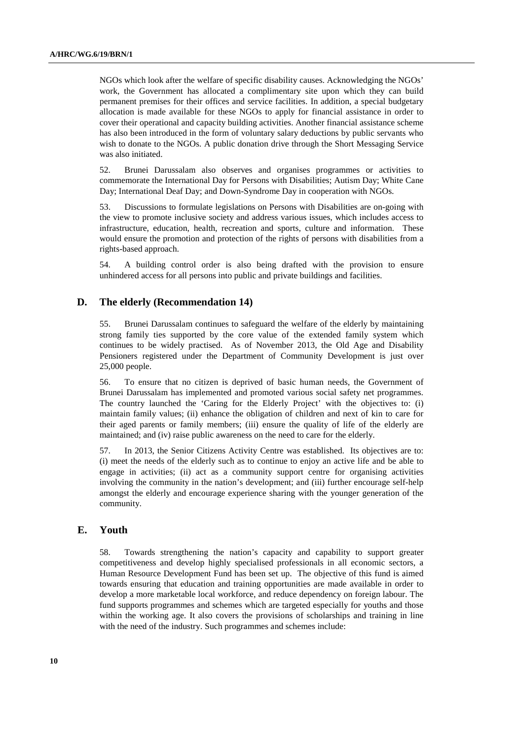NGOs which look after the welfare of specific disability causes. Acknowledging the NGOs' work, the Government has allocated a complimentary site upon which they can build permanent premises for their offices and service facilities. In addition, a special budgetary allocation is made available for these NGOs to apply for financial assistance in order to cover their operational and capacity building activities. Another financial assistance scheme has also been introduced in the form of voluntary salary deductions by public servants who wish to donate to the NGOs. A public donation drive through the Short Messaging Service was also initiated.

52. Brunei Darussalam also observes and organises programmes or activities to commemorate the International Day for Persons with Disabilities; Autism Day; White Cane Day; International Deaf Day; and Down-Syndrome Day in cooperation with NGOs.

53. Discussions to formulate legislations on Persons with Disabilities are on-going with the view to promote inclusive society and address various issues, which includes access to infrastructure, education, health, recreation and sports, culture and information. These would ensure the promotion and protection of the rights of persons with disabilities from a rights-based approach.

54. A building control order is also being drafted with the provision to ensure unhindered access for all persons into public and private buildings and facilities.

#### **D. The elderly (Recommendation 14)**

55. Brunei Darussalam continues to safeguard the welfare of the elderly by maintaining strong family ties supported by the core value of the extended family system which continues to be widely practised. As of November 2013, the Old Age and Disability Pensioners registered under the Department of Community Development is just over 25,000 people.

56. To ensure that no citizen is deprived of basic human needs, the Government of Brunei Darussalam has implemented and promoted various social safety net programmes. The country launched the 'Caring for the Elderly Project' with the objectives to: (i) maintain family values; (ii) enhance the obligation of children and next of kin to care for their aged parents or family members; (iii) ensure the quality of life of the elderly are maintained; and (iv) raise public awareness on the need to care for the elderly.

57. In 2013, the Senior Citizens Activity Centre was established. Its objectives are to: (i) meet the needs of the elderly such as to continue to enjoy an active life and be able to engage in activities; (ii) act as a community support centre for organising activities involving the community in the nation's development; and (iii) further encourage self-help amongst the elderly and encourage experience sharing with the younger generation of the community.

#### **E. Youth**

58. Towards strengthening the nation's capacity and capability to support greater competitiveness and develop highly specialised professionals in all economic sectors, a Human Resource Development Fund has been set up. The objective of this fund is aimed towards ensuring that education and training opportunities are made available in order to develop a more marketable local workforce, and reduce dependency on foreign labour. The fund supports programmes and schemes which are targeted especially for youths and those within the working age. It also covers the provisions of scholarships and training in line with the need of the industry. Such programmes and schemes include: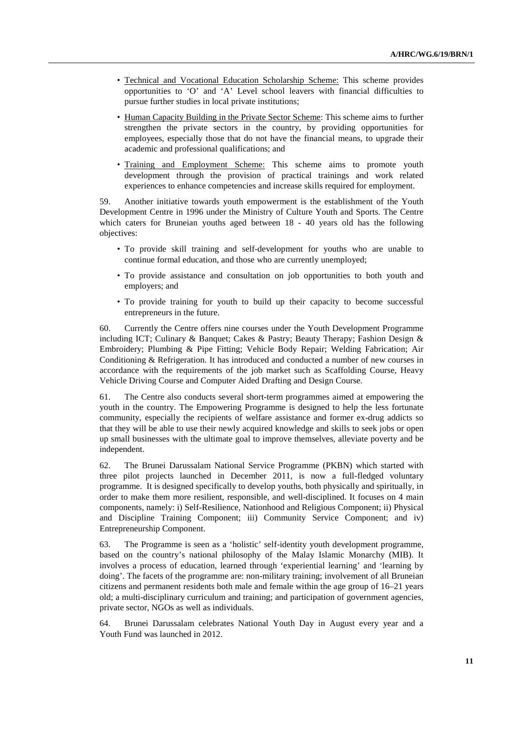- Technical and Vocational Education Scholarship Scheme: This scheme provides opportunities to 'O' and 'A' Level school leavers with financial difficulties to pursue further studies in local private institutions;
- Human Capacity Building in the Private Sector Scheme: This scheme aims to further strengthen the private sectors in the country, by providing opportunities for employees, especially those that do not have the financial means, to upgrade their academic and professional qualifications; and
- Training and Employment Scheme: This scheme aims to promote youth development through the provision of practical trainings and work related experiences to enhance competencies and increase skills required for employment.

59. Another initiative towards youth empowerment is the establishment of the Youth Development Centre in 1996 under the Ministry of Culture Youth and Sports. The Centre which caters for Bruneian youths aged between 18 - 40 years old has the following objectives:

- To provide skill training and self-development for youths who are unable to continue formal education, and those who are currently unemployed;
- To provide assistance and consultation on job opportunities to both youth and employers; and
- To provide training for youth to build up their capacity to become successful entrepreneurs in the future.

60. Currently the Centre offers nine courses under the Youth Development Programme including ICT; Culinary & Banquet; Cakes & Pastry; Beauty Therapy; Fashion Design & Embroidery; Plumbing & Pipe Fitting; Vehicle Body Repair; Welding Fabrication; Air Conditioning & Refrigeration. It has introduced and conducted a number of new courses in accordance with the requirements of the job market such as Scaffolding Course, Heavy Vehicle Driving Course and Computer Aided Drafting and Design Course.

61. The Centre also conducts several short-term programmes aimed at empowering the youth in the country. The Empowering Programme is designed to help the less fortunate community, especially the recipients of welfare assistance and former ex-drug addicts so that they will be able to use their newly acquired knowledge and skills to seek jobs or open up small businesses with the ultimate goal to improve themselves, alleviate poverty and be independent.

62. The Brunei Darussalam National Service Programme (PKBN) which started with three pilot projects launched in December 2011, is now a full-fledged voluntary programme. It is designed specifically to develop youths, both physically and spiritually, in order to make them more resilient, responsible, and well-disciplined. It focuses on 4 main components, namely: i) Self-Resilience, Nationhood and Religious Component; ii) Physical and Discipline Training Component; iii) Community Service Component; and iv) Entrepreneurship Component.

63. The Programme is seen as a 'holistic' self-identity youth development programme, based on the country's national philosophy of the Malay Islamic Monarchy (MIB). It involves a process of education, learned through 'experiential learning' and 'learning by doing'. The facets of the programme are: non-military training; involvement of all Bruneian citizens and permanent residents both male and female within the age group of 16–21 years old; a multi-disciplinary curriculum and training; and participation of government agencies, private sector, NGOs as well as individuals.

64. Brunei Darussalam celebrates National Youth Day in August every year and a Youth Fund was launched in 2012.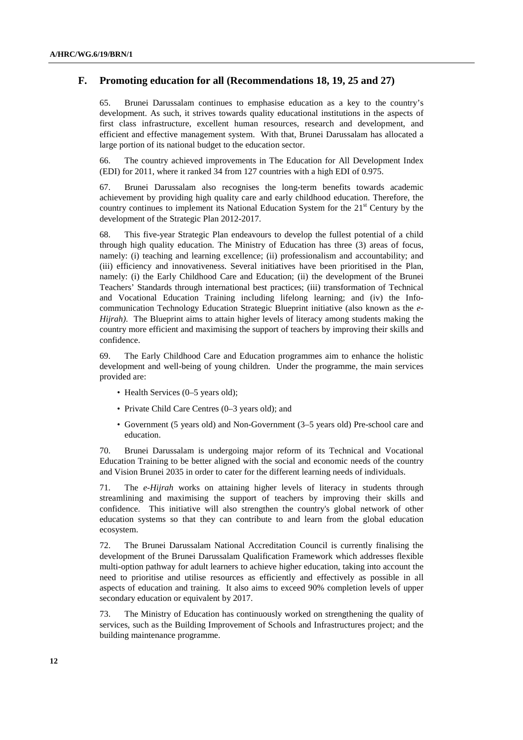#### **F. Promoting education for all (Recommendations 18, 19, 25 and 27)**

65. Brunei Darussalam continues to emphasise education as a key to the country's development. As such, it strives towards quality educational institutions in the aspects of first class infrastructure, excellent human resources, research and development, and efficient and effective management system. With that, Brunei Darussalam has allocated a large portion of its national budget to the education sector.

66. The country achieved improvements in The Education for All Development Index (EDI) for 2011, where it ranked 34 from 127 countries with a high EDI of 0.975.

67. Brunei Darussalam also recognises the long-term benefits towards academic achievement by providing high quality care and early childhood education. Therefore, the country continues to implement its National Education System for the  $21<sup>st</sup>$  Century by the development of the Strategic Plan 2012-2017.

68. This five-year Strategic Plan endeavours to develop the fullest potential of a child through high quality education. The Ministry of Education has three (3) areas of focus, namely: (i) teaching and learning excellence; (ii) professionalism and accountability; and (iii) efficiency and innovativeness. Several initiatives have been prioritised in the Plan, namely: (i) the Early Childhood Care and Education; (ii) the development of the Brunei Teachers' Standards through international best practices; (iii) transformation of Technical and Vocational Education Training including lifelong learning; and (iv) the Infocommunication Technology Education Strategic Blueprint initiative (also known as the *e-Hijrah)*. The Blueprint aims to attain higher levels of literacy among students making the country more efficient and maximising the support of teachers by improving their skills and confidence.

69. The Early Childhood Care and Education programmes aim to enhance the holistic development and well-being of young children. Under the programme, the main services provided are:

- Health Services (0–5 years old);
- Private Child Care Centres (0–3 years old); and
- Government (5 years old) and Non-Government (3–5 years old) Pre-school care and education.

70. Brunei Darussalam is undergoing major reform of its Technical and Vocational Education Training to be better aligned with the social and economic needs of the country and Vision Brunei 2035 in order to cater for the different learning needs of individuals.

71. The *e-Hijrah* works on attaining higher levels of literacy in students through streamlining and maximising the support of teachers by improving their skills and confidence. This initiative will also strengthen the country's global network of other education systems so that they can contribute to and learn from the global education ecosystem.

72. The Brunei Darussalam National Accreditation Council is currently finalising the development of the Brunei Darussalam Qualification Framework which addresses flexible multi-option pathway for adult learners to achieve higher education, taking into account the need to prioritise and utilise resources as efficiently and effectively as possible in all aspects of education and training. It also aims to exceed 90% completion levels of upper secondary education or equivalent by 2017.

73. The Ministry of Education has continuously worked on strengthening the quality of services, such as the Building Improvement of Schools and Infrastructures project; and the building maintenance programme.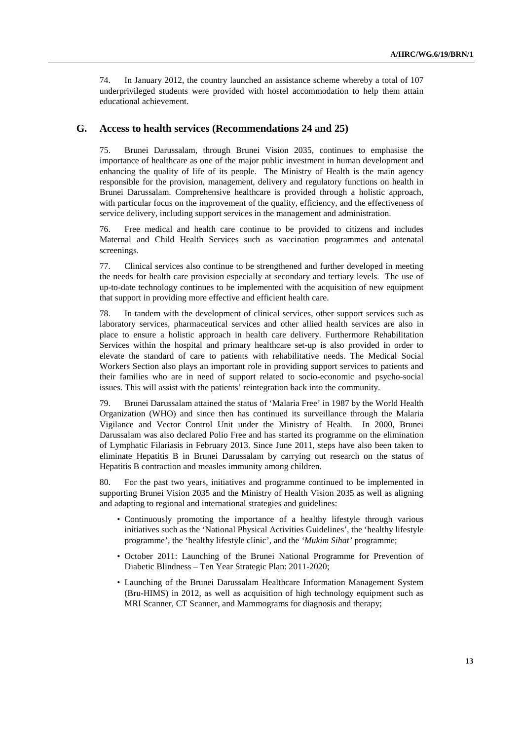74. In January 2012, the country launched an assistance scheme whereby a total of 107 underprivileged students were provided with hostel accommodation to help them attain educational achievement.

#### **G. Access to health services (Recommendations 24 and 25)**

75. Brunei Darussalam, through Brunei Vision 2035*,* continues to emphasise the importance of healthcare as one of the major public investment in human development and enhancing the quality of life of its people. The Ministry of Health is the main agency responsible for the provision, management, delivery and regulatory functions on health in Brunei Darussalam. Comprehensive healthcare is provided through a holistic approach, with particular focus on the improvement of the quality, efficiency, and the effectiveness of service delivery, including support services in the management and administration.

76. Free medical and health care continue to be provided to citizens and includes Maternal and Child Health Services such as vaccination programmes and antenatal screenings.

77. Clinical services also continue to be strengthened and further developed in meeting the needs for health care provision especially at secondary and tertiary levels. The use of up-to-date technology continues to be implemented with the acquisition of new equipment that support in providing more effective and efficient health care.

78. In tandem with the development of clinical services, other support services such as laboratory services, pharmaceutical services and other allied health services are also in place to ensure a holistic approach in health care delivery. Furthermore Rehabilitation Services within the hospital and primary healthcare set-up is also provided in order to elevate the standard of care to patients with rehabilitative needs. The Medical Social Workers Section also plays an important role in providing support services to patients and their families who are in need of support related to socio-economic and psycho-social issues. This will assist with the patients' reintegration back into the community.

79. Brunei Darussalam attained the status of 'Malaria Free' in 1987 by the World Health Organization (WHO) and since then has continued its surveillance through the Malaria Vigilance and Vector Control Unit under the Ministry of Health. In 2000, Brunei Darussalam was also declared Polio Free and has started its programme on the elimination of Lymphatic Filariasis in February 2013. Since June 2011, steps have also been taken to eliminate Hepatitis B in Brunei Darussalam by carrying out research on the status of Hepatitis B contraction and measles immunity among children.

80. For the past two years, initiatives and programme continued to be implemented in supporting Brunei Vision 2035 and the Ministry of Health Vision 2035 as well as aligning and adapting to regional and international strategies and guidelines:

- Continuously promoting the importance of a healthy lifestyle through various initiatives such as the 'National Physical Activities Guidelines', the 'healthy lifestyle programme', the 'healthy lifestyle clinic', and the *'Mukim Sihat'* programme;
- October 2011: Launching of the Brunei National Programme for Prevention of Diabetic Blindness – Ten Year Strategic Plan: 2011-2020;
- Launching of the Brunei Darussalam Healthcare Information Management System (Bru-HIMS) in 2012, as well as acquisition of high technology equipment such as MRI Scanner, CT Scanner, and Mammograms for diagnosis and therapy;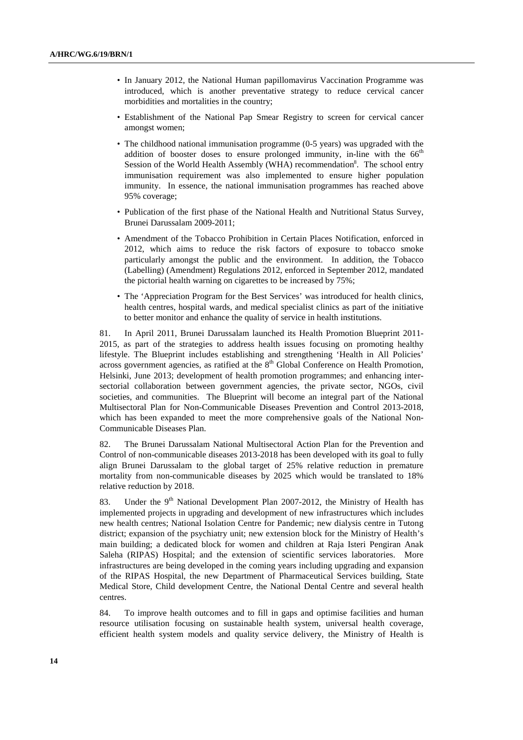- In January 2012, the National Human papillomavirus Vaccination Programme was introduced, which is another preventative strategy to reduce cervical cancer morbidities and mortalities in the country;
- Establishment of the National Pap Smear Registry to screen for cervical cancer amongst women;
- The childhood national immunisation programme (0-5 years) was upgraded with the addition of booster doses to ensure prolonged immunity, in-line with the  $66<sup>th</sup>$ Session of the World Health Assembly (WHA) recommendation<sup>8</sup>. The school entry immunisation requirement was also implemented to ensure higher population immunity. In essence, the national immunisation programmes has reached above 95% coverage;
- Publication of the first phase of the National Health and Nutritional Status Survey, Brunei Darussalam 2009-2011;
- Amendment of the Tobacco Prohibition in Certain Places Notification, enforced in 2012, which aims to reduce the risk factors of exposure to tobacco smoke particularly amongst the public and the environment. In addition, the Tobacco (Labelling) (Amendment) Regulations 2012, enforced in September 2012, mandated the pictorial health warning on cigarettes to be increased by 75%;
- The 'Appreciation Program for the Best Services' was introduced for health clinics, health centres, hospital wards, and medical specialist clinics as part of the initiative to better monitor and enhance the quality of service in health institutions.

81. In April 2011, Brunei Darussalam launched its Health Promotion Blueprint 2011- 2015, as part of the strategies to address health issues focusing on promoting healthy lifestyle. The Blueprint includes establishing and strengthening 'Health in All Policies' across government agencies, as ratified at the  $8<sup>th</sup>$  Global Conference on Health Promotion, Helsinki, June 2013; development of health promotion programmes; and enhancing intersectorial collaboration between government agencies, the private sector, NGOs, civil societies, and communities. The Blueprint will become an integral part of the National Multisectoral Plan for Non-Communicable Diseases Prevention and Control 2013-2018, which has been expanded to meet the more comprehensive goals of the National Non-Communicable Diseases Plan.

82. The Brunei Darussalam National Multisectoral Action Plan for the Prevention and Control of non-communicable diseases 2013-2018 has been developed with its goal to fully align Brunei Darussalam to the global target of 25% relative reduction in premature mortality from non-communicable diseases by 2025 which would be translated to 18% relative reduction by 2018.

83. Under the  $9<sup>th</sup>$  National Development Plan 2007-2012, the Ministry of Health has implemented projects in upgrading and development of new infrastructures which includes new health centres; National Isolation Centre for Pandemic; new dialysis centre in Tutong district; expansion of the psychiatry unit; new extension block for the Ministry of Health's main building; a dedicated block for women and children at Raja Isteri Pengiran Anak Saleha (RIPAS) Hospital; and the extension of scientific services laboratories. More infrastructures are being developed in the coming years including upgrading and expansion of the RIPAS Hospital, the new Department of Pharmaceutical Services building, State Medical Store, Child development Centre, the National Dental Centre and several health centres.

84. To improve health outcomes and to fill in gaps and optimise facilities and human resource utilisation focusing on sustainable health system, universal health coverage, efficient health system models and quality service delivery, the Ministry of Health is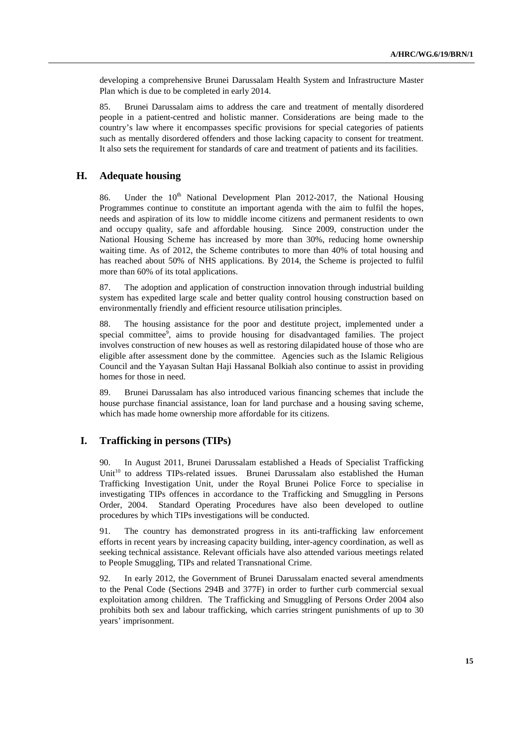developing a comprehensive Brunei Darussalam Health System and Infrastructure Master Plan which is due to be completed in early 2014.

85. Brunei Darussalam aims to address the care and treatment of mentally disordered people in a patient-centred and holistic manner. Considerations are being made to the country's law where it encompasses specific provisions for special categories of patients such as mentally disordered offenders and those lacking capacity to consent for treatment. It also sets the requirement for standards of care and treatment of patients and its facilities.

#### **H. Adequate housing**

86. Under the  $10^{th}$  National Development Plan 2012-2017, the National Housing Programmes continue to constitute an important agenda with the aim to fulfil the hopes. needs and aspiration of its low to middle income citizens and permanent residents to own and occupy quality, safe and affordable housing. Since 2009, construction under the National Housing Scheme has increased by more than 30%, reducing home ownership waiting time. As of 2012, the Scheme contributes to more than 40% of total housing and has reached about 50% of NHS applications. By 2014, the Scheme is projected to fulfil more than 60% of its total applications.

87. The adoption and application of construction innovation through industrial building system has expedited large scale and better quality control housing construction based on environmentally friendly and efficient resource utilisation principles.

88. The housing assistance for the poor and destitute project, implemented under a special committee<sup>9</sup>, aims to provide housing for disadvantaged families. The project involves construction of new houses as well as restoring dilapidated house of those who are eligible after assessment done by the committee. Agencies such as the Islamic Religious Council and the Yayasan Sultan Haji Hassanal Bolkiah also continue to assist in providing homes for those in need.

89. Brunei Darussalam has also introduced various financing schemes that include the house purchase financial assistance, loan for land purchase and a housing saving scheme, which has made home ownership more affordable for its citizens.

#### **I. Trafficking in persons (TIPs)**

90. In August 2011, Brunei Darussalam established a Heads of Specialist Trafficking Unit<sup>10</sup> to address TIPs-related issues. Brunei Darussalam also established the Human Trafficking Investigation Unit, under the Royal Brunei Police Force to specialise in investigating TIPs offences in accordance to the Trafficking and Smuggling in Persons Order, 2004. Standard Operating Procedures have also been developed to outline procedures by which TIPs investigations will be conducted.

91. The country has demonstrated progress in its anti-trafficking law enforcement efforts in recent years by increasing capacity building, inter-agency coordination, as well as seeking technical assistance. Relevant officials have also attended various meetings related to People Smuggling, TIPs and related Transnational Crime.

92. In early 2012, the Government of Brunei Darussalam enacted several amendments to the Penal Code (Sections 294B and 377F) in order to further curb commercial sexual exploitation among children. The Trafficking and Smuggling of Persons Order 2004 also prohibits both sex and labour trafficking, which carries stringent punishments of up to 30 years' imprisonment.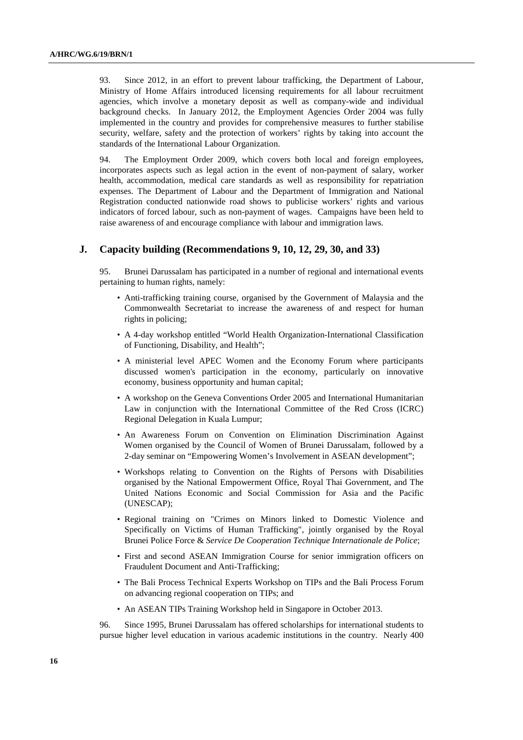93. Since 2012, in an effort to prevent labour trafficking, the Department of Labour, Ministry of Home Affairs introduced licensing requirements for all labour recruitment agencies, which involve a monetary deposit as well as company-wide and individual background checks. In January 2012, the Employment Agencies Order 2004 was fully implemented in the country and provides for comprehensive measures to further stabilise security, welfare, safety and the protection of workers' rights by taking into account the standards of the International Labour Organization.

94. The Employment Order 2009, which covers both local and foreign employees, incorporates aspects such as legal action in the event of non-payment of salary, worker health, accommodation, medical care standards as well as responsibility for repatriation expenses. The Department of Labour and the Department of Immigration and National Registration conducted nationwide road shows to publicise workers' rights and various indicators of forced labour, such as non-payment of wages. Campaigns have been held to raise awareness of and encourage compliance with labour and immigration laws.

#### **J. Capacity building (Recommendations 9, 10, 12, 29, 30, and 33)**

Brunei Darussalam has participated in a number of regional and international events pertaining to human rights, namely:

- Anti-trafficking training course, organised by the Government of Malaysia and the Commonwealth Secretariat to increase the awareness of and respect for human rights in policing;
- A 4-day workshop entitled "World Health Organization-International Classification of Functioning, Disability, and Health";
- A ministerial level APEC Women and the Economy Forum where participants discussed women's participation in the economy, particularly on innovative economy, business opportunity and human capital;
- A workshop on the Geneva Conventions Order 2005 and International Humanitarian Law in conjunction with the International Committee of the Red Cross (ICRC) Regional Delegation in Kuala Lumpur;
- An Awareness Forum on Convention on Elimination Discrimination Against Women organised by the Council of Women of Brunei Darussalam, followed by a 2-day seminar on "Empowering Women's Involvement in ASEAN development";
- Workshops relating to Convention on the Rights of Persons with Disabilities organised by the National Empowerment Office, Royal Thai Government, and The United Nations Economic and Social Commission for Asia and the Pacific (UNESCAP);
- Regional training on "Crimes on Minors linked to Domestic Violence and Specifically on Victims of Human Trafficking", jointly organised by the Royal Brunei Police Force & *Service De Cooperation Technique Internationale de Police*;
- First and second ASEAN Immigration Course for senior immigration officers on Fraudulent Document and Anti-Trafficking;
- The Bali Process Technical Experts Workshop on TIPs and the Bali Process Forum on advancing regional cooperation on TIPs; and
- An ASEAN TIPs Training Workshop held in Singapore in October 2013.

96. Since 1995, Brunei Darussalam has offered scholarships for international students to pursue higher level education in various academic institutions in the country. Nearly 400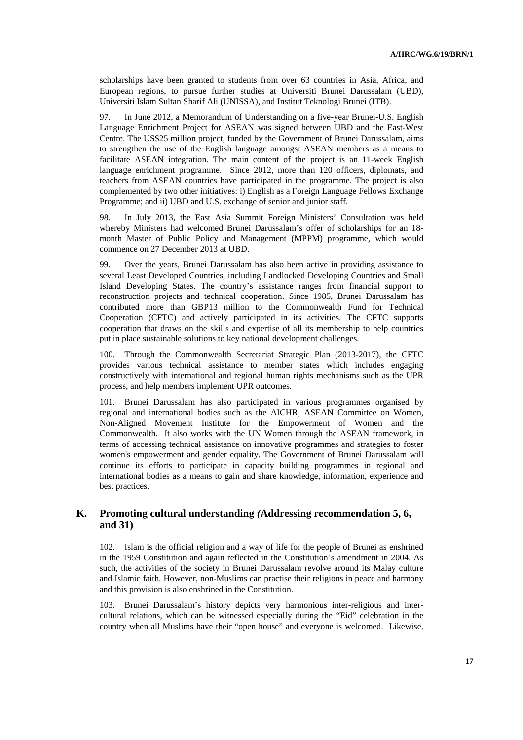scholarships have been granted to students from over 63 countries in Asia, Africa, and European regions, to pursue further studies at Universiti Brunei Darussalam (UBD), Universiti Islam Sultan Sharif Ali (UNISSA), and Institut Teknologi Brunei (ITB).

97. In June 2012, a Memorandum of Understanding on a five-year Brunei-U.S. English Language Enrichment Project for ASEAN was signed between UBD and the East-West Centre. The US\$25 million project, funded by the Government of Brunei Darussalam, aims to strengthen the use of the English language amongst ASEAN members as a means to facilitate ASEAN integration. The main content of the project is an 11-week English language enrichment programme. Since 2012, more than 120 officers, diplomats, and teachers from ASEAN countries have participated in the programme. The project is also complemented by two other initiatives: i) English as a Foreign Language Fellows Exchange Programme; and ii) UBD and U.S. exchange of senior and junior staff.

98. In July 2013, the East Asia Summit Foreign Ministers' Consultation was held whereby Ministers had welcomed Brunei Darussalam's offer of scholarships for an 18 month Master of Public Policy and Management (MPPM) programme, which would commence on 27 December 2013 at UBD.

99. Over the years, Brunei Darussalam has also been active in providing assistance to several Least Developed Countries, including Landlocked Developing Countries and Small Island Developing States. The country's assistance ranges from financial support to reconstruction projects and technical cooperation. Since 1985, Brunei Darussalam has contributed more than GBP13 million to the Commonwealth Fund for Technical Cooperation (CFTC) and actively participated in its activities. The CFTC supports cooperation that draws on the skills and expertise of all its membership to help countries put in place sustainable solutions to key national development challenges.

100. Through the Commonwealth Secretariat Strategic Plan (2013-2017), the CFTC provides various technical assistance to member states which includes engaging constructively with international and regional human rights mechanisms such as the UPR process, and help members implement UPR outcomes.

101. Brunei Darussalam has also participated in various programmes organised by regional and international bodies such as the AICHR, ASEAN Committee on Women, Non-Aligned Movement Institute for the Empowerment of Women and the Commonwealth. It also works with the UN Women through the ASEAN framework, in terms of accessing technical assistance on innovative programmes and strategies to foster women's empowerment and gender equality. The Government of Brunei Darussalam will continue its efforts to participate in capacity building programmes in regional and international bodies as a means to gain and share knowledge, information, experience and best practices.

#### **K. Promoting cultural understanding** *(***Addressing recommendation 5, 6, and 31)**

102. Islam is the official religion and a way of life for the people of Brunei as enshrined in the 1959 Constitution and again reflected in the Constitution's amendment in 2004. As such, the activities of the society in Brunei Darussalam revolve around its Malay culture and Islamic faith. However, non-Muslims can practise their religions in peace and harmony and this provision is also enshrined in the Constitution.

103. Brunei Darussalam's history depicts very harmonious inter-religious and intercultural relations, which can be witnessed especially during the "Eid" celebration in the country when all Muslims have their "open house" and everyone is welcomed. Likewise,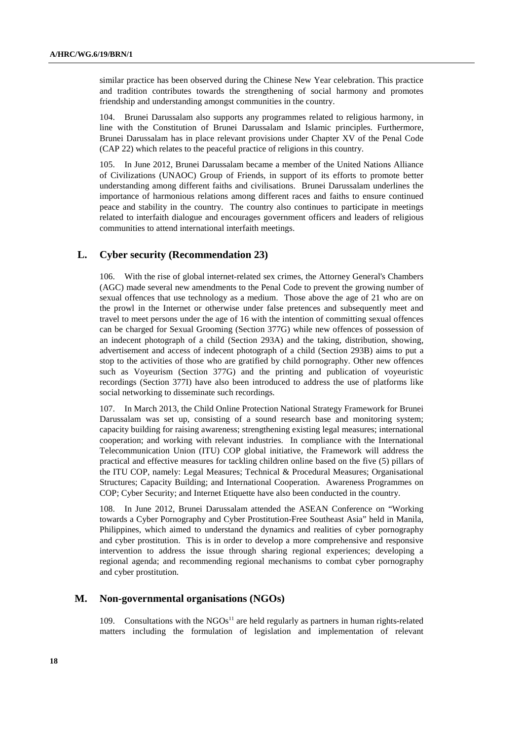similar practice has been observed during the Chinese New Year celebration. This practice and tradition contributes towards the strengthening of social harmony and promotes friendship and understanding amongst communities in the country.

104. Brunei Darussalam also supports any programmes related to religious harmony, in line with the Constitution of Brunei Darussalam and Islamic principles. Furthermore, Brunei Darussalam has in place relevant provisions under Chapter XV of the Penal Code (CAP 22) which relates to the peaceful practice of religions in this country.

105. In June 2012, Brunei Darussalam became a member of the United Nations Alliance of Civilizations (UNAOC) Group of Friends, in support of its efforts to promote better understanding among different faiths and civilisations. Brunei Darussalam underlines the importance of harmonious relations among different races and faiths to ensure continued peace and stability in the country. The country also continues to participate in meetings related to interfaith dialogue and encourages government officers and leaders of religious communities to attend international interfaith meetings.

#### **L. Cyber security (Recommendation 23)**

106. With the rise of global internet-related sex crimes, the Attorney General's Chambers (AGC) made several new amendments to the Penal Code to prevent the growing number of sexual offences that use technology as a medium. Those above the age of 21 who are on the prowl in the Internet or otherwise under false pretences and subsequently meet and travel to meet persons under the age of 16 with the intention of committing sexual offences can be charged for Sexual Grooming (Section 377G) while new offences of possession of an indecent photograph of a child (Section 293A) and the taking, distribution, showing, advertisement and access of indecent photograph of a child (Section 293B) aims to put a stop to the activities of those who are gratified by child pornography. Other new offences such as Voyeurism (Section 377G) and the printing and publication of voyeuristic recordings (Section 377I) have also been introduced to address the use of platforms like social networking to disseminate such recordings.

107. In March 2013, the Child Online Protection National Strategy Framework for Brunei Darussalam was set up, consisting of a sound research base and monitoring system; capacity building for raising awareness; strengthening existing legal measures; international cooperation; and working with relevant industries. In compliance with the International Telecommunication Union (ITU) COP global initiative, the Framework will address the practical and effective measures for tackling children online based on the five (5) pillars of the ITU COP, namely: Legal Measures; Technical & Procedural Measures; Organisational Structures; Capacity Building; and International Cooperation. Awareness Programmes on COP; Cyber Security; and Internet Etiquette have also been conducted in the country.

108. In June 2012, Brunei Darussalam attended the ASEAN Conference on "Working towards a Cyber Pornography and Cyber Prostitution-Free Southeast Asia" held in Manila, Philippines, which aimed to understand the dynamics and realities of cyber pornography and cyber prostitution. This is in order to develop a more comprehensive and responsive intervention to address the issue through sharing regional experiences; developing a regional agenda; and recommending regional mechanisms to combat cyber pornography and cyber prostitution.

#### **M. Non-governmental organisations (NGOs)**

109. Consultations with the  $NGOS<sup>11</sup>$  are held regularly as partners in human rights-related matters including the formulation of legislation and implementation of relevant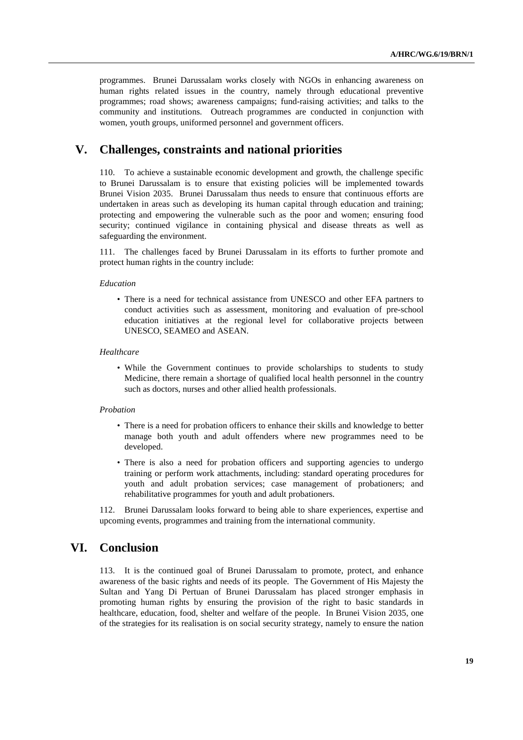programmes. Brunei Darussalam works closely with NGOs in enhancing awareness on human rights related issues in the country, namely through educational preventive programmes; road shows; awareness campaigns; fund-raising activities; and talks to the community and institutions. Outreach programmes are conducted in conjunction with women, youth groups, uniformed personnel and government officers.

## **V. Challenges, constraints and national priorities**

110. To achieve a sustainable economic development and growth, the challenge specific to Brunei Darussalam is to ensure that existing policies will be implemented towards Brunei Vision 2035. Brunei Darussalam thus needs to ensure that continuous efforts are undertaken in areas such as developing its human capital through education and training; protecting and empowering the vulnerable such as the poor and women; ensuring food security; continued vigilance in containing physical and disease threats as well as safeguarding the environment.

111. The challenges faced by Brunei Darussalam in its efforts to further promote and protect human rights in the country include:

#### *Education*

• There is a need for technical assistance from UNESCO and other EFA partners to conduct activities such as assessment, monitoring and evaluation of pre-school education initiatives at the regional level for collaborative projects between UNESCO, SEAMEO and ASEAN.

#### *Healthcare*

• While the Government continues to provide scholarships to students to study Medicine, there remain a shortage of qualified local health personnel in the country such as doctors, nurses and other allied health professionals.

#### *Probation*

- There is a need for probation officers to enhance their skills and knowledge to better manage both youth and adult offenders where new programmes need to be developed.
- There is also a need for probation officers and supporting agencies to undergo training or perform work attachments, including: standard operating procedures for youth and adult probation services; case management of probationers; and rehabilitative programmes for youth and adult probationers.

112. Brunei Darussalam looks forward to being able to share experiences, expertise and upcoming events, programmes and training from the international community.

### **VI. Conclusion**

113. It is the continued goal of Brunei Darussalam to promote, protect, and enhance awareness of the basic rights and needs of its people. The Government of His Majesty the Sultan and Yang Di Pertuan of Brunei Darussalam has placed stronger emphasis in promoting human rights by ensuring the provision of the right to basic standards in healthcare, education, food, shelter and welfare of the people. In Brunei Vision 2035, one of the strategies for its realisation is on social security strategy, namely to ensure the nation